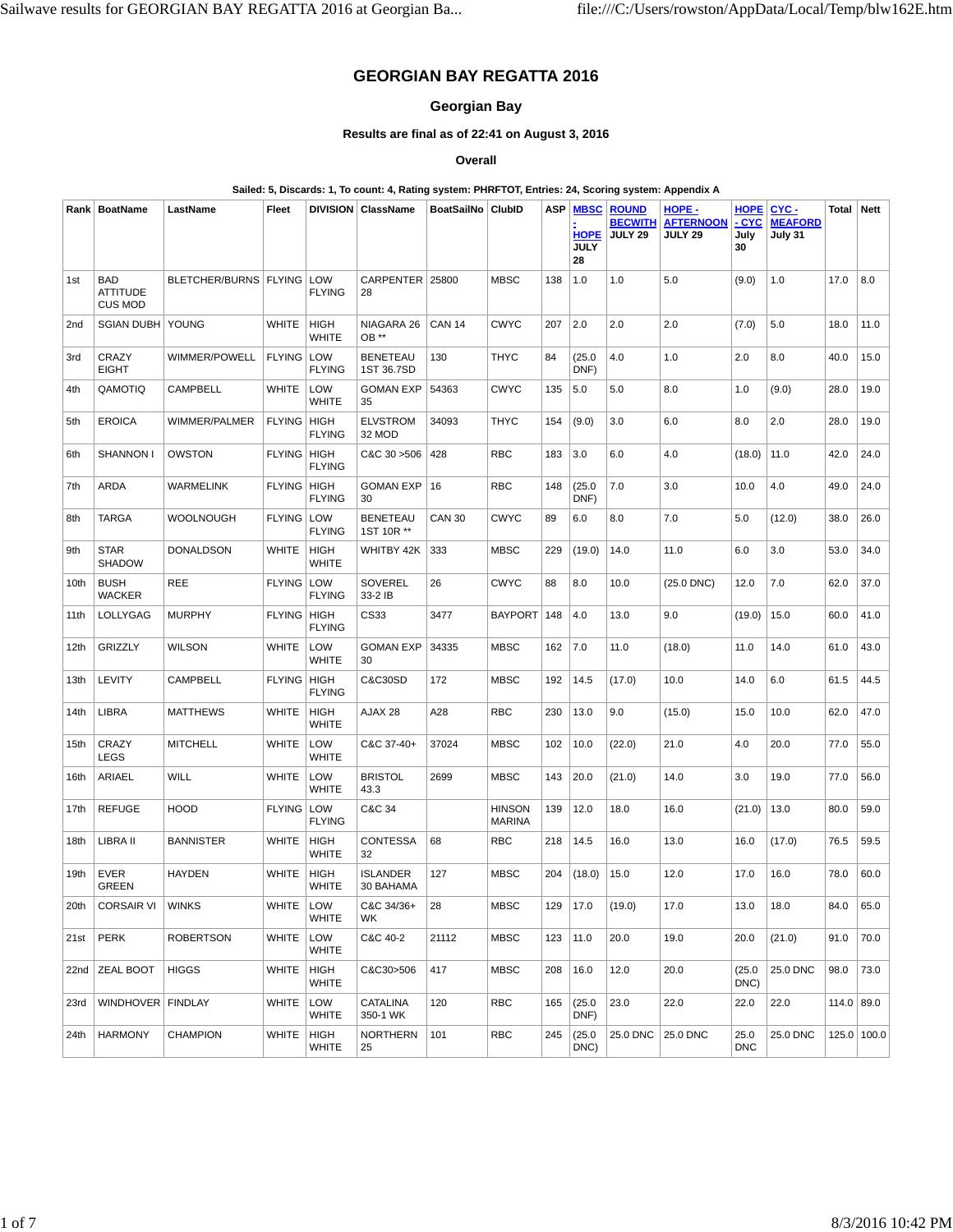# **GEORGIAN BAY REGATTA 2016**

## **Georgian Bay**

## **Results are final as of 22:41 on August 3, 2016**

**Overall**

#### **Sailed: 5, Discards: 1, To count: 4, Rating system: PHRFTOT, Entries: 24, Scoring system: Appendix A**

|      | Rank   BoatName                                 | LastName                | Fleet         |                              | DIVISION   ClassName          | BoatSailNo   ClubID |                                | <b>ASP</b> | <b>MBSC</b><br><b>HOPE</b><br><b>JULY</b><br>28 | <b>ROUND</b><br><b>BECWITH</b><br><b>JULY 29</b> | HOPE -<br><b>AFTERNOON</b><br><b>JULY 29</b> | <b>HOPE</b><br>- CYC<br>July<br>30 | CYC-<br><b>MEAFORD</b><br>July 31 | <b>Total Nett</b> |             |
|------|-------------------------------------------------|-------------------------|---------------|------------------------------|-------------------------------|---------------------|--------------------------------|------------|-------------------------------------------------|--------------------------------------------------|----------------------------------------------|------------------------------------|-----------------------------------|-------------------|-------------|
| 1st  | <b>BAD</b><br><b>ATTITUDE</b><br><b>CUS MOD</b> | BLETCHER/BURNS   FLYING |               | LOW<br><b>FLYING</b>         | CARPENTER 25800<br>28         |                     | <b>MBSC</b>                    | 138        | 1.0                                             | 1.0                                              | 5.0                                          | (9.0)                              | 1.0                               | 17.0              | 8.0         |
| 2nd  | <b>SGIAN DUBH</b>                               | YOUNG                   | <b>WHITE</b>  | <b>HIGH</b><br><b>WHITE</b>  | NIAGARA 26<br>OB **           | <b>CAN 14</b>       | <b>CWYC</b>                    | 207        | 2.0                                             | 2.0                                              | 2.0                                          | (7.0)                              | 5.0                               | 18.0              | 11.0        |
| 3rd  | CRAZY<br><b>EIGHT</b>                           | WIMMER/POWELL           | <b>FLYING</b> | LOW<br><b>FLYING</b>         | <b>BENETEAU</b><br>1ST 36.7SD | 130                 | <b>THYC</b>                    | 84         | (25.0)<br>DNF)                                  | 4.0                                              | 1.0                                          | 2.0                                | 8.0                               | 40.0              | 15.0        |
| 4th  | QAMOTIQ                                         | CAMPBELL                | <b>WHITE</b>  | LOW<br><b>WHITE</b>          | <b>GOMAN EXP</b><br>35        | 54363               | <b>CWYC</b>                    | 135        | 5.0                                             | 5.0                                              | 8.0                                          | 1.0                                | (9.0)                             | 28.0              | 19.0        |
| 5th  | <b>EROICA</b>                                   | WIMMER/PALMER           | <b>FLYING</b> | <b>HIGH</b><br><b>FLYING</b> | <b>ELVSTROM</b><br>32 MOD     | 34093               | <b>THYC</b>                    | 154        | (9.0)                                           | 3.0                                              | 6.0                                          | 8.0                                | 2.0                               | 28.0              | 19.0        |
| 6th  | SHANNON I                                       | <b>OWSTON</b>           | <b>FLYING</b> | HIGH<br><b>FLYING</b>        | C&C 30 > 506                  | 428                 | <b>RBC</b>                     | 183        | 3.0                                             | 6.0                                              | 4.0                                          | (18.0)                             | 11.0                              | 42.0              | 24.0        |
| 7th  | ARDA                                            | WARMELINK               | <b>FLYING</b> | <b>HIGH</b><br><b>FLYING</b> | <b>GOMAN EXP</b><br>30        | 16                  | <b>RBC</b>                     | 148        | (25.0)<br>DNF)                                  | 7.0                                              | 3.0                                          | 10.0                               | 4.0                               | 49.0              | 24.0        |
| 8th  | <b>TARGA</b>                                    | WOOLNOUGH               | <b>FLYING</b> | LOW<br><b>FLYING</b>         | <b>BENETEAU</b><br>1ST 10R ** | <b>CAN 30</b>       | <b>CWYC</b>                    | 89         | 6.0                                             | 8.0                                              | 7.0                                          | 5.0                                | (12.0)                            | 38.0              | 26.0        |
| 9th  | <b>STAR</b><br><b>SHADOW</b>                    | <b>DONALDSON</b>        | <b>WHITE</b>  | HIGH<br><b>WHITE</b>         | WHITBY 42K                    | 333                 | <b>MBSC</b>                    | 229        | (19.0)                                          | 14.0                                             | 11.0                                         | 6.0                                | 3.0                               | 53.0              | 34.0        |
| 10th | <b>BUSH</b><br><b>WACKER</b>                    | REE                     | <b>FLYING</b> | LOW<br><b>FLYING</b>         | SOVEREL<br>33-2 IB            | 26                  | <b>CWYC</b>                    | 88         | 8.0                                             | 10.0                                             | $(25.0$ DNC $)$                              | 12.0                               | 7.0                               | 62.0              | 37.0        |
| 11th | LOLLYGAG                                        | <b>MURPHY</b>           | <b>FLYING</b> | <b>HIGH</b><br><b>FLYING</b> | CS33                          | 3477                | <b>BAYPORT</b>                 | 148        | 4.0                                             | 13.0                                             | 9.0                                          | (19.0)                             | 15.0                              | 60.0              | 41.0        |
| 12th | <b>GRIZZLY</b>                                  | <b>WILSON</b>           | <b>WHITE</b>  | LOW<br><b>WHITE</b>          | GOMAN EXP<br>30               | 34335               | <b>MBSC</b>                    | 162        | 7.0                                             | 11.0                                             | (18.0)                                       | 11.0                               | 14.0                              | 61.0              | 43.0        |
| 13th | LEVITY                                          | CAMPBELL                | <b>FLYING</b> | <b>HIGH</b><br><b>FLYING</b> | C&C30SD                       | 172                 | <b>MBSC</b>                    | 192        | 14.5                                            | (17.0)                                           | 10.0                                         | 14.0                               | 6.0                               | 61.5              | 44.5        |
| 14th | <b>LIBRA</b>                                    | <b>MATTHEWS</b>         | <b>WHITE</b>  | <b>HIGH</b><br><b>WHITE</b>  | AJAX 28                       | A28                 | <b>RBC</b>                     | 230        | 13.0                                            | 9.0                                              | (15.0)                                       | 15.0                               | 10.0                              | 62.0              | 47.0        |
| 15th | CRAZY<br><b>LEGS</b>                            | <b>MITCHELL</b>         | <b>WHITE</b>  | LOW<br><b>WHITE</b>          | C&C 37-40+                    | 37024               | <b>MBSC</b>                    | 102        | 10.0                                            | (22.0)                                           | 21.0                                         | 4.0                                | 20.0                              | 77.0              | 55.0        |
| 16th | <b>ARIAEL</b>                                   | WILL                    | <b>WHITE</b>  | LOW<br><b>WHITE</b>          | <b>BRISTOL</b><br>43.3        | 2699                | <b>MBSC</b>                    | 143        | 20.0                                            | (21.0)                                           | 14.0                                         | 3.0                                | 19.0                              | 77.0              | 56.0        |
| 17th | <b>REFUGE</b>                                   | HOOD                    | <b>FLYING</b> | LOW<br><b>FLYING</b>         | C&C 34                        |                     | <b>HINSON</b><br><b>MARINA</b> | 139        | 12.0                                            | 18.0                                             | 16.0                                         | (21.0)                             | 13.0                              | 80.0              | 59.0        |
| 18th | LIBRA II                                        | <b>BANNISTER</b>        | <b>WHITE</b>  | <b>HIGH</b><br><b>WHITE</b>  | <b>CONTESSA</b><br>32         | 68                  | <b>RBC</b>                     | 218        | 14.5                                            | 16.0                                             | 13.0                                         | 16.0                               | (17.0)                            | 76.5              | 59.5        |
| 19th | <b>EVER</b><br>GREEN                            | <b>HAYDEN</b>           | <b>WHITE</b>  | <b>HIGH</b><br><b>WHITE</b>  | <b>ISLANDER</b><br>30 BAHAMA  | 127                 | <b>MBSC</b>                    | 204        | (18.0)                                          | 15.0                                             | 12.0                                         | 17.0                               | 16.0                              | 78.0              | 60.0        |
| 20th | CORSAIR VI                                      | <b>WINKS</b>            | WHITE   LOW   | <b>WHITE</b>                 | C&C 34/36+<br>WK              | 28                  | <b>MBSC</b>                    |            | 129   17.0                                      | (19.0)                                           | 17.0                                         | 13.0                               | 18.0                              | 84.0              | 65.0        |
| 21st | <b>PERK</b>                                     | <b>ROBERTSON</b>        | WHITE         | LOW<br><b>WHITE</b>          | C&C 40-2                      | 21112               | <b>MBSC</b>                    | 123        | 11.0                                            | 20.0                                             | 19.0                                         | 20.0                               | (21.0)                            | 91.0              | 70.0        |
|      | 22nd ZEAL BOOT                                  | <b>HIGGS</b>            | WHITE         | HIGH<br><b>WHITE</b>         | C&C30>506                     | 417                 | <b>MBSC</b>                    | 208        | 16.0                                            | 12.0                                             | 20.0                                         | (25.0)<br>DNC)                     | 25.0 DNC                          | 98.0              | 73.0        |
| 23rd | WINDHOVER   FINDLAY                             |                         | WHITE         | LOW<br><b>WHITE</b>          | CATALINA<br>350-1 WK          | 120                 | RBC                            | 165        | (25.0)<br>DNF)                                  | 23.0                                             | 22.0                                         | 22.0                               | 22.0                              | 114.0   89.0      |             |
| 24th | <b>HARMONY</b>                                  | <b>CHAMPION</b>         | WHITE         | <b>HIGH</b><br><b>WHITE</b>  | NORTHERN<br>25                | 101                 | <b>RBC</b>                     | 245        | (25.0)<br>DNC)                                  | 25.0 DNC                                         | 25.0 DNC                                     | 25.0<br><b>DNC</b>                 | 25.0 DNC                          |                   | 125.0 100.0 |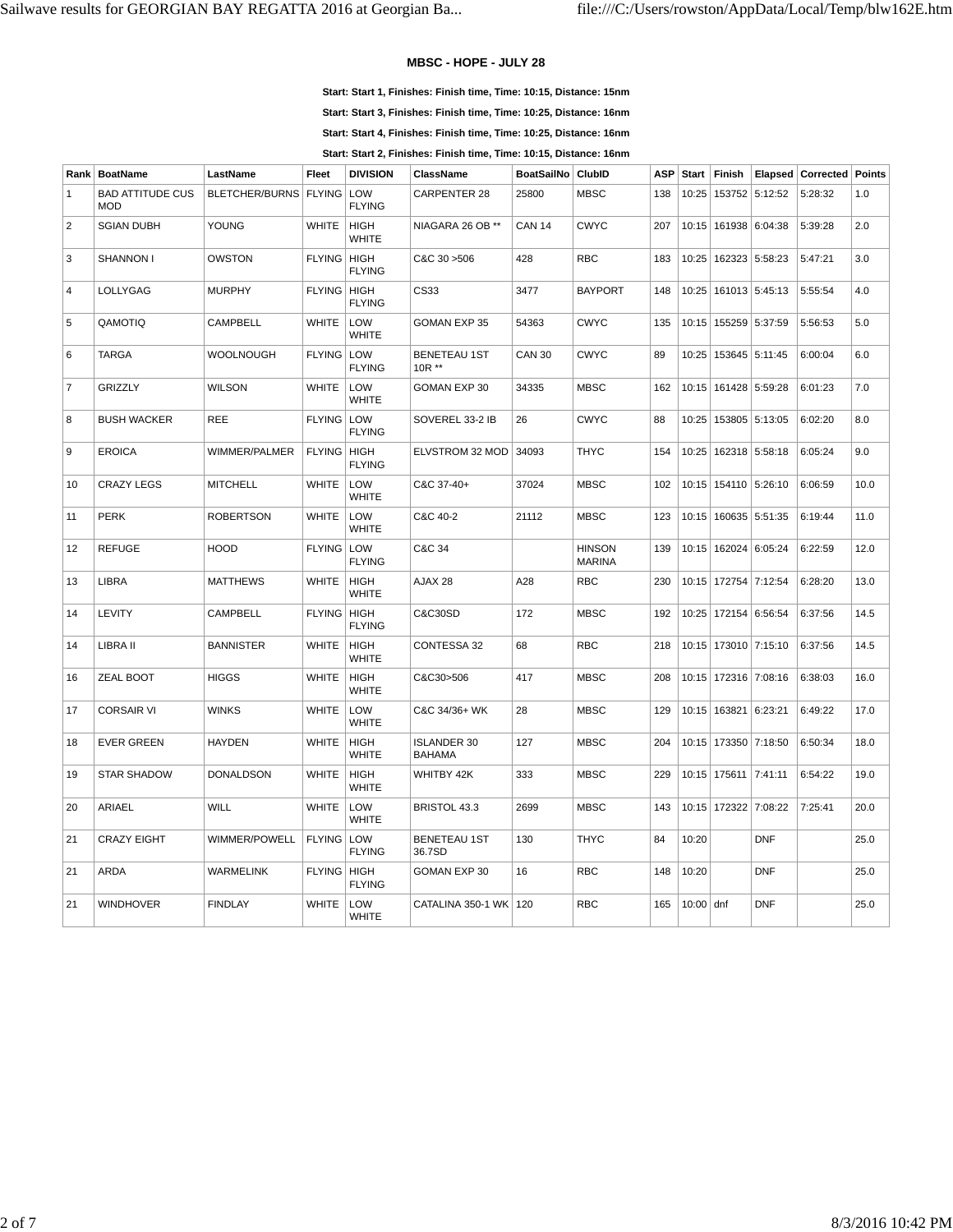#### **MBSC - HOPE - JULY 28**

**Start: Start 1, Finishes: Finish time, Time: 10:15, Distance: 15nm**

**Start: Start 3, Finishes: Finish time, Time: 10:25, Distance: 16nm**

**Start: Start 4, Finishes: Finish time, Time: 10:25, Distance: 16nm**

**Start: Start 2, Finishes: Finish time, Time: 10:15, Distance: 16nm**

| Rank           | <b>BoatName</b>                       | LastName                | Fleet                | <b>DIVISION</b>             | ClassName                           | <b>BoatSailNo</b> | ClubID                         | <b>ASP</b> | Start       | Finish                   | Elapsed                  | <b>Corrected Points</b> |      |
|----------------|---------------------------------------|-------------------------|----------------------|-----------------------------|-------------------------------------|-------------------|--------------------------------|------------|-------------|--------------------------|--------------------------|-------------------------|------|
| $\mathbf{1}$   | <b>BAD ATTITUDE CUS</b><br><b>MOD</b> | BLETCHER/BURNS   FLYING |                      | LOW<br><b>FLYING</b>        | <b>CARPENTER 28</b>                 | 25800             | <b>MBSC</b>                    | 138        | 10:25       |                          | 153752 5:12:52           | 5:28:32                 | 1.0  |
| 2              | <b>SGIAN DUBH</b>                     | YOUNG                   | <b>WHITE</b>         | <b>HIGH</b><br><b>WHITE</b> | NIAGARA 26 OB **                    | <b>CAN 14</b>     | <b>CWYC</b>                    | 207        |             | 10:15   161938   6:04:38 |                          | 5:39:28                 | 2.0  |
| 3              | SHANNON I                             | OWSTON                  | FLYING   HIGH        | <b>FLYING</b>               | C&C 30 > 506                        | 428               | <b>RBC</b>                     | 183        | 10:25       |                          | 162323 5:58:23           | 5:47:21                 | 3.0  |
| $\overline{4}$ | LOLLYGAG                              | <b>MURPHY</b>           | FLYING HIGH          | <b>FLYING</b>               | CS33                                | 3477              | <b>BAYPORT</b>                 | 148        |             |                          | 10:25   161013   5:45:13 | 5:55:54                 | 4.0  |
| 5              | QAMOTIQ                               | CAMPBELL                | <b>WHITE</b>         | LOW<br><b>WHITE</b>         | <b>GOMAN EXP 35</b>                 | 54363             | <b>CWYC</b>                    | 135        |             | 10:15   155259   5:37:59 |                          | 5:56:53                 | 5.0  |
| 6              | <b>TARGA</b>                          | <b>WOOLNOUGH</b>        | <b>FLYING</b>        | LOW<br><b>FLYING</b>        | <b>BENETEAU 1ST</b><br>$10R**$      | <b>CAN 30</b>     | <b>CWYC</b>                    | 89         | 10:25       |                          | 153645 5:11:45           | 6:00:04                 | 6.0  |
| $\overline{7}$ | <b>GRIZZLY</b>                        | <b>WILSON</b>           | <b>WHITE</b>         | LOW<br><b>WHITE</b>         | GOMAN EXP 30                        | 34335             | <b>MBSC</b>                    | 162        |             | 10:15   161428   5:59:28 |                          | 6:01:23                 | 7.0  |
| 8              | <b>BUSH WACKER</b>                    | <b>REE</b>              | FLYING LOW           | <b>FLYING</b>               | SOVEREL 33-2 IB                     | 26                | <b>CWYC</b>                    | 88         |             | 10:25   153805   5:13:05 |                          | 6:02:20                 | 8.0  |
| 9              | <b>EROICA</b>                         | WIMMER/PALMER           | FLYING   HIGH        | <b>FLYING</b>               | ELVSTROM 32 MOD                     | 34093             | <b>THYC</b>                    | 154        |             |                          | 10:25   162318   5:58:18 | 6:05:24                 | 9.0  |
| 10             | <b>CRAZY LEGS</b>                     | <b>MITCHELL</b>         | <b>WHITE</b>         | LOW<br><b>WHITE</b>         | C&C 37-40+                          | 37024             | <b>MBSC</b>                    | 102        |             |                          | 10:15   154110   5:26:10 | 6:06:59                 | 10.0 |
| 11             | <b>PERK</b>                           | <b>ROBERTSON</b>        | <b>WHITE</b>         | LOW<br>WHITE                | C&C 40-2                            | 21112             | <b>MBSC</b>                    | 123        |             | 10:15   160635   5:51:35 |                          | 6:19:44                 | 11.0 |
| 12             | <b>REFUGE</b>                         | <b>HOOD</b>             | <b>FLYING</b>        | LOW<br><b>FLYING</b>        | C&C 34                              |                   | <b>HINSON</b><br><b>MARINA</b> | 139        | 10:15       | 162024 6:05:24           |                          | 6:22:59                 | 12.0 |
| 13             | <b>LIBRA</b>                          | <b>MATTHEWS</b>         | <b>WHITE</b>         | <b>HIGH</b><br><b>WHITE</b> | AJAX 28                             | A28               | <b>RBC</b>                     | 230        |             | 10:15   172754   7:12:54 |                          | 6:28:20                 | 13.0 |
| 14             | LEVITY                                | CAMPBELL                | <b>FLYING</b>        | HIGH<br><b>FLYING</b>       | C&C30SD                             | 172               | <b>MBSC</b>                    | 192        |             |                          | 10:25   172154   6:56:54 | 6:37:56                 | 14.5 |
| 14             | LIBRA II                              | <b>BANNISTER</b>        | <b>WHITE</b>         | <b>HIGH</b><br><b>WHITE</b> | CONTESSA 32                         | 68                | <b>RBC</b>                     | 218        |             |                          | 10:15   173010   7:15:10 | 6:37:56                 | 14.5 |
| 16             | ZEAL BOOT                             | <b>HIGGS</b>            | <b>WHITE</b>         | <b>HIGH</b><br><b>WHITE</b> | C&C30>506                           | 417               | <b>MBSC</b>                    | 208        |             |                          | 10:15   172316   7:08:16 | 6:38:03                 | 16.0 |
| 17             | <b>CORSAIR VI</b>                     | <b>WINKS</b>            | <b>WHITE</b>         | LOW<br><b>WHITE</b>         | C&C 34/36+ WK                       | 28                | <b>MBSC</b>                    | 129        |             | 10:15   163821   6:23:21 |                          | 6:49:22                 | 17.0 |
| 18             | <b>EVER GREEN</b>                     | <b>HAYDEN</b>           | <b>WHITE</b>         | <b>HIGH</b><br><b>WHITE</b> | <b>ISLANDER 30</b><br><b>BAHAMA</b> | 127               | <b>MBSC</b>                    | 204        |             |                          | 10:15   173350   7:18:50 | 6:50:34                 | 18.0 |
| 19             | <b>STAR SHADOW</b>                    | <b>DONALDSON</b>        | <b>WHITE</b>         | <b>HIGH</b><br><b>WHITE</b> | WHITBY 42K                          | 333               | <b>MBSC</b>                    | 229        |             | 10:15   175611   7:41:11 |                          | 6:54:22                 | 19.0 |
| 20             | ARIAEL                                | WILL                    | <b>WHITE</b>         | LOW<br><b>WHITE</b>         | BRISTOL 43.3                        | 2699              | <b>MBSC</b>                    | 143        |             |                          | 10:15   172322   7:08:22 | 7:25:41                 | 20.0 |
| 21             | <b>CRAZY EIGHT</b>                    | WIMMER/POWELL           | <b>FLYING</b>        | LOW<br><b>FLYING</b>        | <b>BENETEAU 1ST</b><br>36.7SD       | 130               | <b>THYC</b>                    | 84         | 10:20       |                          | <b>DNF</b>               |                         | 25.0 |
| 21             | ARDA                                  | <b>WARMELINK</b>        | <b>FLYING   HIGH</b> | <b>FLYING</b>               | GOMAN EXP 30                        | 16                | <b>RBC</b>                     | 148        | 10:20       |                          | <b>DNF</b>               |                         | 25.0 |
| 21             | <b>WINDHOVER</b>                      | <b>FINDLAY</b>          | <b>WHITE</b>         | LOW<br><b>WHITE</b>         | CATALINA 350-1 WK   120             |                   | <b>RBC</b>                     | 165        | $10:00$ dnf |                          | <b>DNF</b>               |                         | 25.0 |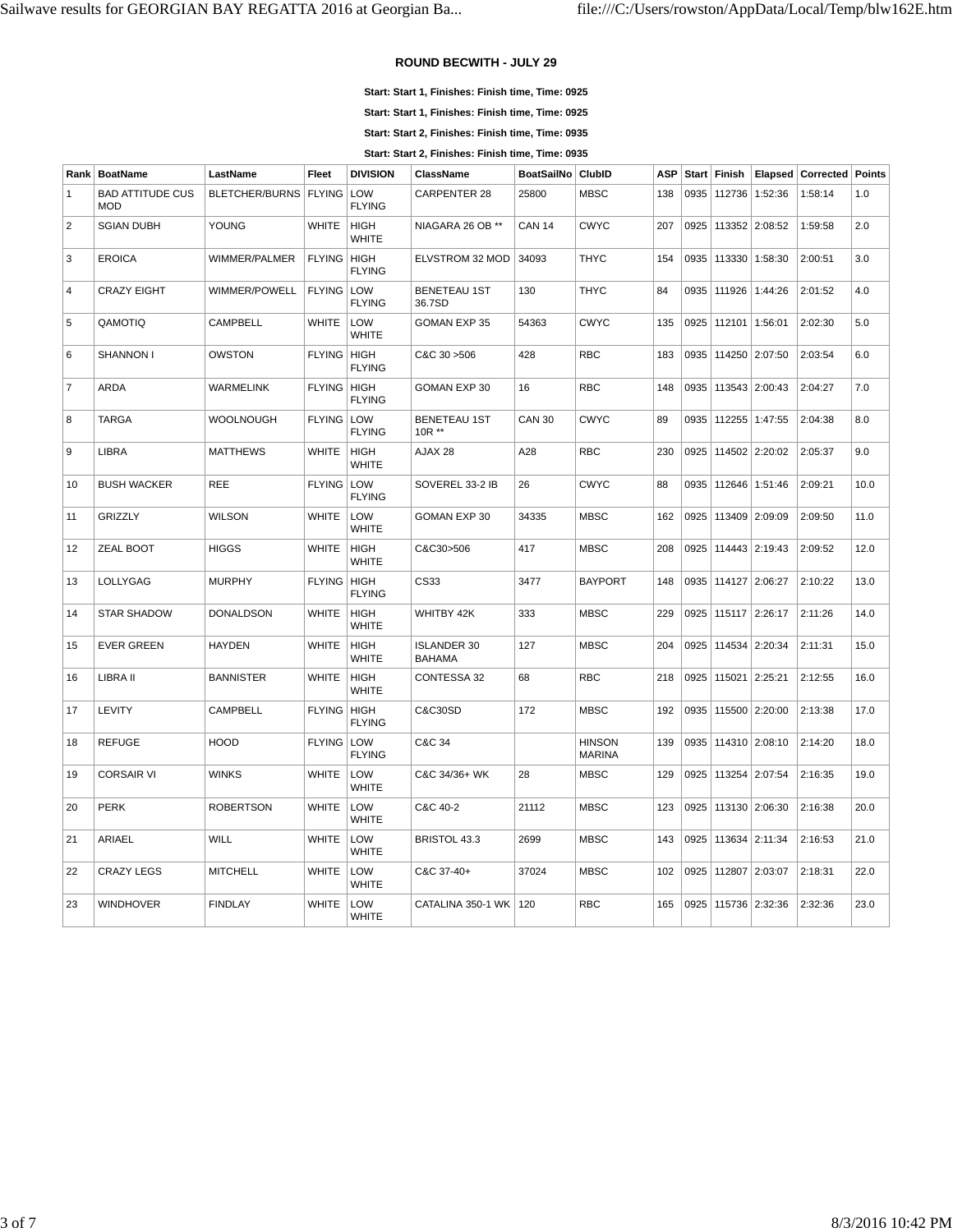## **ROUND BECWITH - JULY 29**

**Start: Start 1, Finishes: Finish time, Time: 0925**

**Start: Start 1, Finishes: Finish time, Time: 0925**

**Start: Start 2, Finishes: Finish time, Time: 0935**

**Start: Start 2, Finishes: Finish time, Time: 0935**

| Rank           | <b>BoatName</b>                | LastName                | Fleet         | <b>DIVISION</b>              | <b>ClassName</b>                    | <b>BoatSailNo</b> | <b>ClubID</b>                  | <b>ASP</b> | <b>Start</b> | Finish         | Elapsed        | Corrected | Points |
|----------------|--------------------------------|-------------------------|---------------|------------------------------|-------------------------------------|-------------------|--------------------------------|------------|--------------|----------------|----------------|-----------|--------|
| $\mathbf{1}$   | <b>BAD ATTITUDE CUS</b><br>MOD | BLETCHER/BURNS   FLYING |               | LOW<br><b>FLYING</b>         | <b>CARPENTER 28</b>                 | 25800             | <b>MBSC</b>                    | 138        | 0935         | 112736         | 1:52:36        | 1:58:14   | 1.0    |
| $\sqrt{2}$     | <b>SGIAN DUBH</b>              | YOUNG                   | <b>WHITE</b>  | <b>HIGH</b><br><b>WHITE</b>  | NIAGARA 26 OB **                    | <b>CAN 14</b>     | <b>CWYC</b>                    | 207        | 0925         |                | 113352 2:08:52 | 1:59:58   | 2.0    |
| 3              | <b>EROICA</b>                  | WIMMER/PALMER           | <b>FLYING</b> | HIGH<br><b>FLYING</b>        | ELVSTROM 32 MOD                     | 34093             | <b>THYC</b>                    | 154        | 0935         |                | 113330 1:58:30 | 2:00:51   | 3.0    |
| $\overline{4}$ | <b>CRAZY EIGHT</b>             | WIMMER/POWELL           | FLYING LOW    | <b>FLYING</b>                | <b>BENETEAU 1ST</b><br>36.7SD       | 130               | <b>THYC</b>                    | 84         | 0935         |                | 111926 1:44:26 | 2:01:52   | 4.0    |
| 5              | QAMOTIQ                        | CAMPBELL                | <b>WHITE</b>  | LOW<br><b>WHITE</b>          | GOMAN EXP 35                        | 54363             | <b>CWYC</b>                    | 135        | 0925         | 112101 1:56:01 |                | 2:02:30   | 5.0    |
| 6              | SHANNON I                      | <b>OWSTON</b>           | <b>FLYING</b> | <b>HIGH</b><br><b>FLYING</b> | C&C 30 > 506                        | 428               | <b>RBC</b>                     | 183        | 0935         |                | 114250 2:07:50 | 2:03:54   | 6.0    |
| $\overline{7}$ | ARDA                           | <b>WARMELINK</b>        | <b>FLYING</b> | HIGH<br><b>FLYING</b>        | GOMAN EXP 30                        | 16                | <b>RBC</b>                     | 148        | 0935         |                | 113543 2:00:43 | 2:04:27   | 7.0    |
| 8              | TARGA                          | <b>WOOLNOUGH</b>        | FLYING LOW    | <b>FLYING</b>                | <b>BENETEAU 1ST</b><br>10R **       | <b>CAN 30</b>     | <b>CWYC</b>                    | 89         | 0935         |                | 112255 1:47:55 | 2:04:38   | 8.0    |
| 9              | LIBRA                          | <b>MATTHEWS</b>         | <b>WHITE</b>  | <b>HIGH</b><br>WHITE         | AJAX 28                             | A28               | <b>RBC</b>                     | 230        | 0925         |                | 114502 2:20:02 | 2:05:37   | 9.0    |
| 10             | <b>BUSH WACKER</b>             | <b>REE</b>              | <b>FLYING</b> | LOW<br><b>FLYING</b>         | SOVEREL 33-2 IB                     | 26                | <b>CWYC</b>                    | 88         | 0935         |                | 112646 1:51:46 | 2:09:21   | 10.0   |
| 11             | <b>GRIZZLY</b>                 | <b>WILSON</b>           | <b>WHITE</b>  | LOW<br><b>WHITE</b>          | GOMAN EXP 30                        | 34335             | <b>MBSC</b>                    | 162        | 0925         |                | 113409 2:09:09 | 2:09:50   | 11.0   |
| 12             | ZEAL BOOT                      | <b>HIGGS</b>            | <b>WHITE</b>  | <b>HIGH</b><br><b>WHITE</b>  | C&C30>506                           | 417               | <b>MBSC</b>                    | 208        | 0925         |                | 114443 2:19:43 | 2:09:52   | 12.0   |
| 13             | LOLLYGAG                       | <b>MURPHY</b>           | <b>FLYING</b> | HIGH<br><b>FLYING</b>        | CS33                                | 3477              | <b>BAYPORT</b>                 | 148        | 0935         | 114127 2:06:27 |                | 2:10:22   | 13.0   |
| 14             | <b>STAR SHADOW</b>             | <b>DONALDSON</b>        | <b>WHITE</b>  | <b>HIGH</b><br><b>WHITE</b>  | WHITBY 42K                          | 333               | <b>MBSC</b>                    | 229        | 0925         |                | 115117 2:26:17 | 2:11:26   | 14.0   |
| 15             | <b>EVER GREEN</b>              | <b>HAYDEN</b>           | <b>WHITE</b>  | <b>HIGH</b><br><b>WHITE</b>  | <b>ISLANDER 30</b><br><b>BAHAMA</b> | 127               | <b>MBSC</b>                    | 204        | 0925         |                | 114534 2:20:34 | 2:11:31   | 15.0   |
| 16             | LIBRA II                       | <b>BANNISTER</b>        | <b>WHITE</b>  | <b>HIGH</b><br><b>WHITE</b>  | CONTESSA 32                         | 68                | <b>RBC</b>                     | 218        | 0925         | 115021 2:25:21 |                | 2:12:55   | 16.0   |
| 17             | LEVITY                         | CAMPBELL                | <b>FLYING</b> | HIGH<br><b>FLYING</b>        | C&C30SD                             | 172               | <b>MBSC</b>                    | 192        | 0935         |                | 115500 2:20:00 | 2:13:38   | 17.0   |
| 18             | <b>REFUGE</b>                  | <b>HOOD</b>             | <b>FLYING</b> | LOW<br><b>FLYING</b>         | C&C 34                              |                   | <b>HINSON</b><br><b>MARINA</b> | 139        | 0935         |                | 114310 2:08:10 | 2:14:20   | 18.0   |
| 19             | <b>CORSAIR VI</b>              | <b>WINKS</b>            | <b>WHITE</b>  | LOW<br><b>WHITE</b>          | C&C 34/36+ WK                       | 28                | <b>MBSC</b>                    | 129        | 0925         |                | 113254 2:07:54 | 2:16:35   | 19.0   |
| 20             | <b>PERK</b>                    | <b>ROBERTSON</b>        | <b>WHITE</b>  | LOW<br><b>WHITE</b>          | C&C 40-2                            | 21112             | <b>MBSC</b>                    | 123        | 0925         |                | 113130 2:06:30 | 2:16:38   | 20.0   |
| 21             | ARIAEL                         | <b>WILL</b>             | <b>WHITE</b>  | LOW<br><b>WHITE</b>          | <b>BRISTOL 43.3</b>                 | 2699              | <b>MBSC</b>                    | 143        | 0925         | 113634 2:11:34 |                | 2:16:53   | 21.0   |
| 22             | <b>CRAZY LEGS</b>              | <b>MITCHELL</b>         | <b>WHITE</b>  | LOW<br><b>WHITE</b>          | C&C 37-40+                          | 37024             | <b>MBSC</b>                    | 102        | 0925         | 112807 2:03:07 |                | 2:18:31   | 22.0   |
| 23             | <b>WINDHOVER</b>               | <b>FINDLAY</b>          | <b>WHITE</b>  | LOW<br><b>WHITE</b>          | CATALINA 350-1 WK                   | 120               | <b>RBC</b>                     | 165        | 0925         |                | 115736 2:32:36 | 2:32:36   | 23.0   |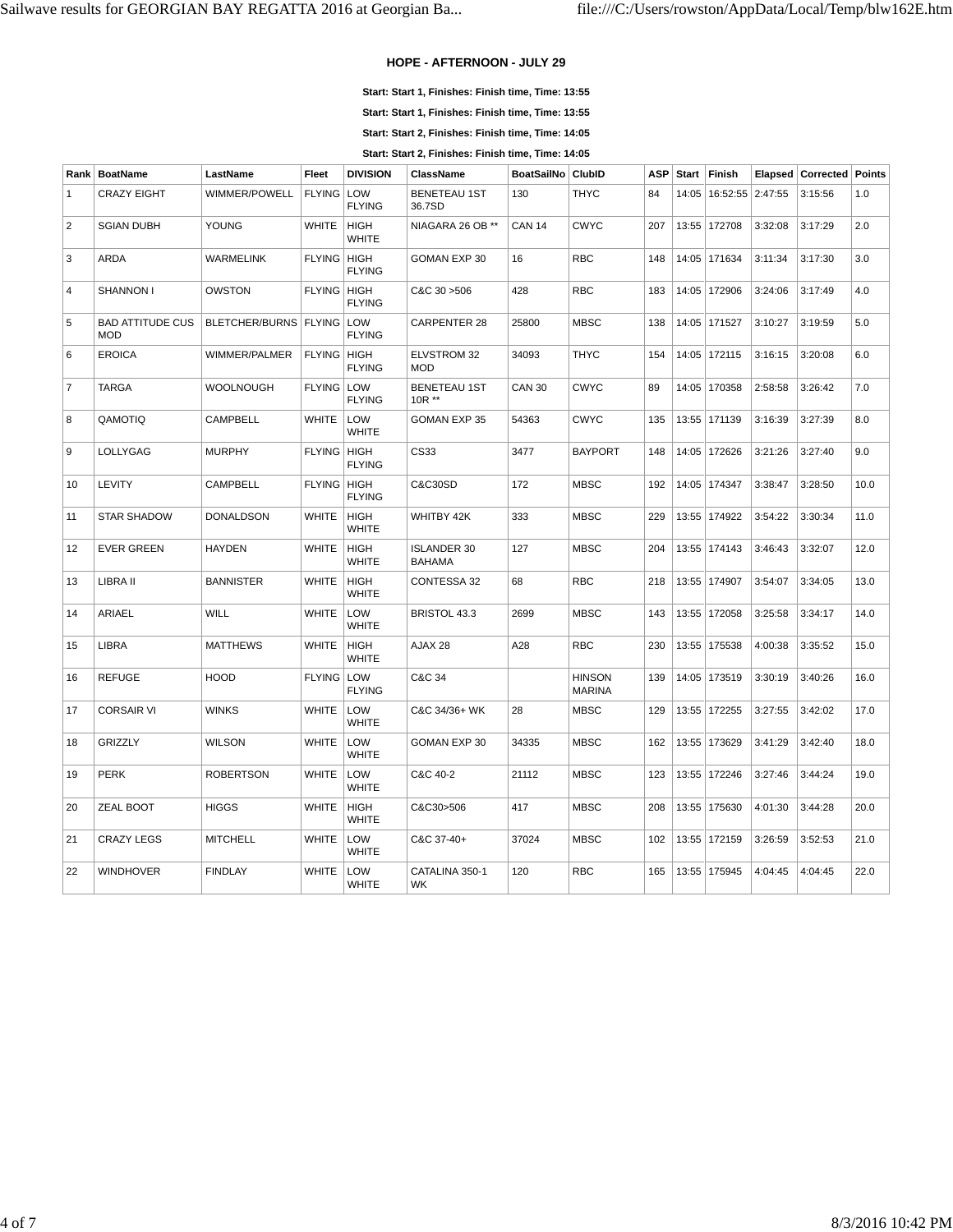## **HOPE - AFTERNOON - JULY 29**

**Start: Start 1, Finishes: Finish time, Time: 13:55**

**Start: Start 1, Finishes: Finish time, Time: 13:55**

**Start: Start 2, Finishes: Finish time, Time: 14:05**

**Start: Start 2, Finishes: Finish time, Time: 14:05**

| Rank           | <b>BoatName</b>                       | LastName                      | <b>Fleet</b>  | <b>DIVISION</b>             | <b>ClassName</b>                    | BoatSailNo ClubID |                                | <b>ASP</b> | <b>Start</b> | Finish                     | Elapsed | <b>Corrected Points</b> |      |
|----------------|---------------------------------------|-------------------------------|---------------|-----------------------------|-------------------------------------|-------------------|--------------------------------|------------|--------------|----------------------------|---------|-------------------------|------|
| $\mathbf{1}$   | <b>CRAZY EIGHT</b>                    | WIMMER/POWELL                 | <b>FLYING</b> | LOW<br><b>FLYING</b>        | <b>BENETEAU 1ST</b><br>36.7SD       | 130               | <b>THYC</b>                    | 84         |              | 14:05   16:52:55   2:47:55 |         | 3:15:56                 | 1.0  |
| 2              | <b>SGIAN DUBH</b>                     | YOUNG                         | <b>WHITE</b>  | <b>HIGH</b><br><b>WHITE</b> | NIAGARA 26 OB **                    | <b>CAN 14</b>     | <b>CWYC</b>                    | 207        |              | 13:55   172708             | 3:32:08 | 3:17:29                 | 2.0  |
| 3              | ARDA                                  | <b>WARMELINK</b>              | <b>FLYING</b> | HIGH<br><b>FLYING</b>       | GOMAN EXP 30                        | 16                | <b>RBC</b>                     | 148        |              | 14:05 171634               | 3:11:34 | 3:17:30                 | 3.0  |
| $\overline{4}$ | SHANNON I                             | <b>OWSTON</b>                 | <b>FLYING</b> | HIGH<br><b>FLYING</b>       | C&C 30 > 506                        | 428               | <b>RBC</b>                     | 183        |              | 14:05 172906               | 3:24:06 | 3:17:49                 | 4.0  |
| 5              | <b>BAD ATTITUDE CUS</b><br><b>MOD</b> | BLETCHER/BURNS   FLYING   LOW |               | <b>FLYING</b>               | <b>CARPENTER 28</b>                 | 25800             | <b>MBSC</b>                    | 138        |              | 14:05 171527               | 3:10:27 | 3:19:59                 | 5.0  |
| 6              | <b>EROICA</b>                         | WIMMER/PALMER                 | <b>FLYING</b> | HIGH<br><b>FLYING</b>       | ELVSTROM 32<br><b>MOD</b>           | 34093             | <b>THYC</b>                    | 154        |              | 14:05   172115             | 3:16:15 | 3:20:08                 | 6.0  |
| $\overline{7}$ | <b>TARGA</b>                          | WOOLNOUGH                     | <b>FLYING</b> | LOW<br><b>FLYING</b>        | <b>BENETEAU 1ST</b><br>10R **       | <b>CAN 30</b>     | <b>CWYC</b>                    | 89         |              | 14:05 170358               | 2:58:58 | 3:26:42                 | 7.0  |
| 8              | QAMOTIQ                               | <b>CAMPBELL</b>               | <b>WHITE</b>  | LOW<br><b>WHITE</b>         | GOMAN EXP 35                        | 54363             | <b>CWYC</b>                    | 135        |              | 13:55   171139             | 3:16:39 | 3:27:39                 | 8.0  |
| 9              | LOLLYGAG                              | <b>MURPHY</b>                 | <b>FLYING</b> | HIGH<br><b>FLYING</b>       | CS33                                | 3477              | <b>BAYPORT</b>                 | 148        |              | 14:05 172626               | 3:21:26 | 3:27:40                 | 9.0  |
| 10             | LEVITY                                | <b>CAMPBELL</b>               | <b>FLYING</b> | HIGH<br><b>FLYING</b>       | C&C30SD                             | 172               | <b>MBSC</b>                    | 192        |              | 14:05 174347               | 3:38:47 | 3:28:50                 | 10.0 |
| 11             | <b>STAR SHADOW</b>                    | <b>DONALDSON</b>              | <b>WHITE</b>  | <b>HIGH</b><br><b>WHITE</b> | WHITBY 42K                          | 333               | <b>MBSC</b>                    | 229        |              | 13:55 174922               | 3:54:22 | 3:30:34                 | 11.0 |
| 12             | <b>EVER GREEN</b>                     | <b>HAYDEN</b>                 | <b>WHITE</b>  | <b>HIGH</b><br><b>WHITE</b> | <b>ISLANDER 30</b><br><b>BAHAMA</b> | 127               | <b>MBSC</b>                    | 204        |              | 13:55 174143               | 3:46:43 | 3:32:07                 | 12.0 |
| 13             | LIBRA II                              | <b>BANNISTER</b>              | <b>WHITE</b>  | <b>HIGH</b><br><b>WHITE</b> | CONTESSA 32                         | 68                | <b>RBC</b>                     | 218        |              | 13:55 174907               | 3:54:07 | 3:34:05                 | 13.0 |
| 14             | ARIAEL                                | WILL                          | <b>WHITE</b>  | LOW<br><b>WHITE</b>         | BRISTOL 43.3                        | 2699              | <b>MBSC</b>                    | 143        |              | 13:55   172058             | 3:25:58 | 3:34:17                 | 14.0 |
| 15             | LIBRA                                 | <b>MATTHEWS</b>               | <b>WHITE</b>  | <b>HIGH</b><br><b>WHITE</b> | AJAX 28                             | A28               | <b>RBC</b>                     | 230        |              | 13:55   175538             | 4:00:38 | 3:35:52                 | 15.0 |
| 16             | <b>REFUGE</b>                         | <b>HOOD</b>                   | <b>FLYING</b> | LOW<br><b>FLYING</b>        | C&C 34                              |                   | <b>HINSON</b><br><b>MARINA</b> | 139        |              | 14:05 173519               | 3:30:19 | 3:40:26                 | 16.0 |
| 17             | <b>CORSAIR VI</b>                     | <b>WINKS</b>                  | <b>WHITE</b>  | LOW<br><b>WHITE</b>         | C&C 34/36+ WK                       | 28                | <b>MBSC</b>                    | 129        |              | 13:55   172255             | 3:27:55 | 3:42:02                 | 17.0 |
| 18             | GRIZZLY                               | <b>WILSON</b>                 | <b>WHITE</b>  | LOW<br><b>WHITE</b>         | GOMAN EXP 30                        | 34335             | <b>MBSC</b>                    | 162        |              | 13:55   173629             | 3:41:29 | 3:42:40                 | 18.0 |
| 19             | <b>PERK</b>                           | <b>ROBERTSON</b>              | <b>WHITE</b>  | LOW<br><b>WHITE</b>         | C&C 40-2                            | 21112             | <b>MBSC</b>                    | 123        |              | 13:55 172246               | 3:27:46 | 3:44:24                 | 19.0 |
| 20             | ZEAL BOOT                             | <b>HIGGS</b>                  | <b>WHITE</b>  | <b>HIGH</b><br><b>WHITE</b> | C&C30>506                           | 417               | <b>MBSC</b>                    | 208        |              | 13:55   175630             | 4:01:30 | 3:44:28                 | 20.0 |
| 21             | <b>CRAZY LEGS</b>                     | <b>MITCHELL</b>               | <b>WHITE</b>  | LOW<br><b>WHITE</b>         | C&C 37-40+                          | 37024             | <b>MBSC</b>                    | 102        |              | 13:55   172159             | 3:26:59 | 3:52:53                 | 21.0 |
| 22             | <b>WINDHOVER</b>                      | <b>FINDLAY</b>                | <b>WHITE</b>  | LOW<br><b>WHITE</b>         | CATALINA 350-1<br>WK.               | 120               | <b>RBC</b>                     | 165        |              | 13:55 175945               | 4:04:45 | 4:04:45                 | 22.0 |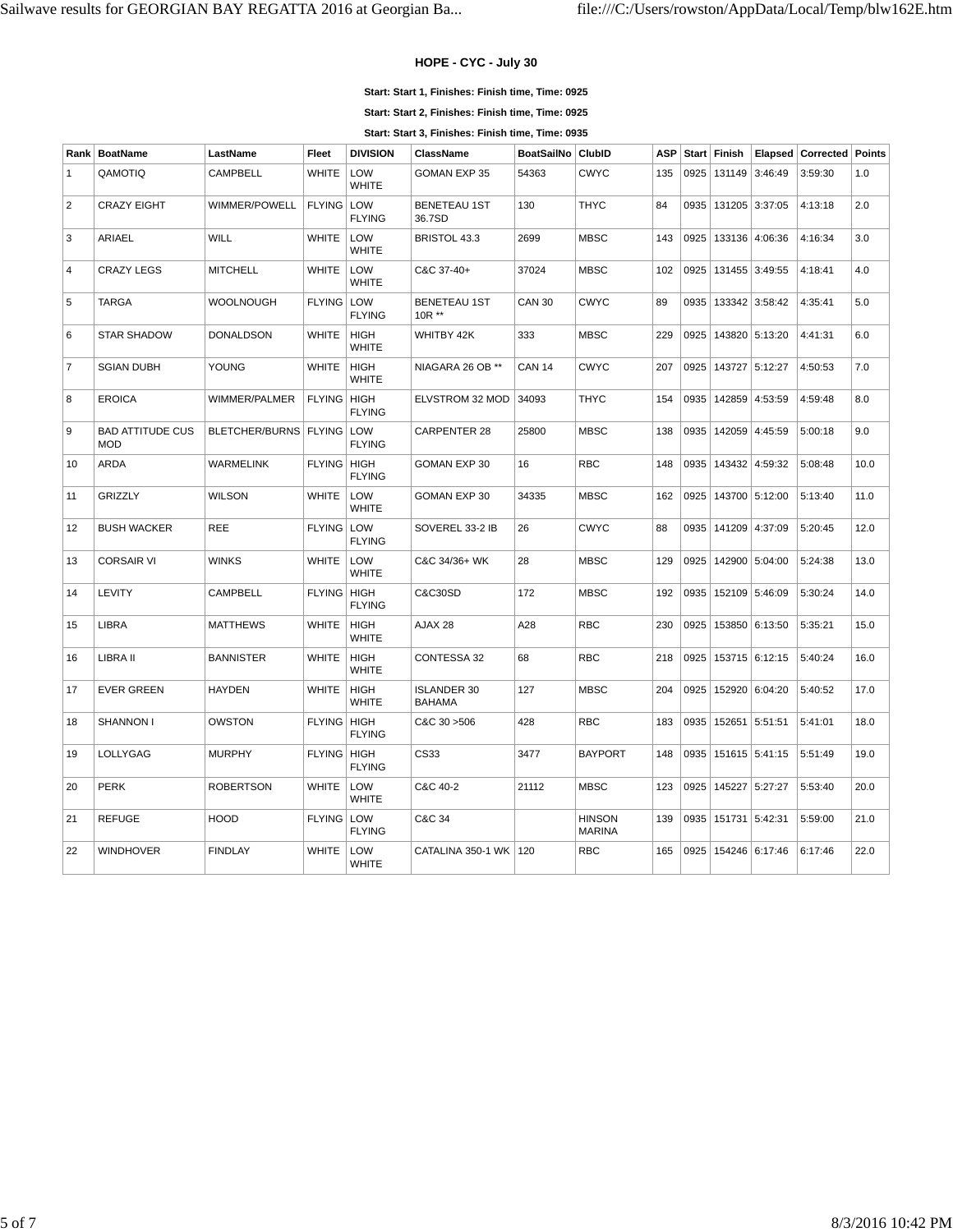## **HOPE - CYC - July 30**

#### **Start: Start 1, Finishes: Finish time, Time: 0925**

**Start: Start 2, Finishes: Finish time, Time: 0925**

**Start: Start 3, Finishes: Finish time, Time: 0935**

| Rank           | <b>BoatName</b>                       | LastName         | Fleet              | <b>DIVISION</b>             | <b>ClassName</b>                    | <b>BoatSailNo</b> | <b>ClubID</b>                  | <b>ASP</b> |      | Start Finish            |                | Elapsed   Corrected   Points |      |
|----------------|---------------------------------------|------------------|--------------------|-----------------------------|-------------------------------------|-------------------|--------------------------------|------------|------|-------------------------|----------------|------------------------------|------|
| $\mathbf{1}$   | QAMOTIQ                               | <b>CAMPBELL</b>  | WHITE              | LOW<br><b>WHITE</b>         | <b>GOMAN EXP 35</b>                 | 54363             | <b>CWYC</b>                    | 135        | 0925 | 131149                  | 3:46:49        | 3:59:30                      | 1.0  |
| $\overline{2}$ | <b>CRAZY EIGHT</b>                    | WIMMER/POWELL    | <b>FLYING LOW</b>  | <b>FLYING</b>               | <b>BENETEAU 1ST</b><br>36.7SD       | 130               | <b>THYC</b>                    | 84         | 0935 |                         | 131205 3:37:05 | 4:13:18                      | 2.0  |
| 3              | <b>ARIAEL</b>                         | WILL             | <b>WHITE</b>       | LOW<br><b>WHITE</b>         | BRISTOL 43.3                        | 2699              | <b>MBSC</b>                    | 143        | 0925 |                         | 133136 4:06:36 | 4:16:34                      | 3.0  |
| $\overline{4}$ | <b>CRAZY LEGS</b>                     | <b>MITCHELL</b>  | WHITE              | LOW<br><b>WHITE</b>         | C&C 37-40+                          | 37024             | <b>MBSC</b>                    | 102        | 0925 |                         | 131455 3:49:55 | 4:18:41                      | 4.0  |
| 5              | <b>TARGA</b>                          | <b>WOOLNOUGH</b> | <b>FLYING LOW</b>  | <b>FLYING</b>               | <b>BENETEAU 1ST</b><br>10R **       | <b>CAN 30</b>     | <b>CWYC</b>                    | 89         | 0935 |                         | 133342 3:58:42 | 4:35:41                      | 5.0  |
| 6              | <b>STAR SHADOW</b>                    | <b>DONALDSON</b> | <b>WHITE</b>       | <b>HIGH</b><br><b>WHITE</b> | WHITBY 42K                          | 333               | <b>MBSC</b>                    | 229        | 0925 |                         | 143820 5:13:20 | 4:41:31                      | 6.0  |
| $\overline{7}$ | <b>SGIAN DUBH</b>                     | YOUNG            | <b>WHITE</b>       | <b>HIGH</b><br><b>WHITE</b> | NIAGARA 26 OB **                    | <b>CAN 14</b>     | <b>CWYC</b>                    | 207        | 0925 |                         | 143727 5:12:27 | 4:50:53                      | 7.0  |
| 8              | <b>EROICA</b>                         | WIMMER/PALMER    | <b>FLYING</b>      | HIGH<br><b>FLYING</b>       | ELVSTROM 32 MOD                     | 34093             | <b>THYC</b>                    | 154        | 0935 |                         | 142859 4:53:59 | 4:59:48                      | 8.0  |
| 9              | <b>BAD ATTITUDE CUS</b><br><b>MOD</b> | BLETCHER/BURNS   | <b>FLYING LOW</b>  | <b>FLYING</b>               | <b>CARPENTER 28</b>                 | 25800             | <b>MBSC</b>                    | 138        | 0935 |                         | 142059 4:45:59 | 5:00:18                      | 9.0  |
| 10             | <b>ARDA</b>                           | <b>WARMELINK</b> | <b>FLYING</b>      | HIGH<br><b>FLYING</b>       | <b>GOMAN EXP 30</b>                 | 16                | <b>RBC</b>                     | 148        | 0935 |                         | 143432 4:59:32 | 5:08:48                      | 10.0 |
| 11             | <b>GRIZZLY</b>                        | WILSON           | <b>WHITE</b>       | LOW<br><b>WHITE</b>         | GOMAN EXP 30                        | 34335             | <b>MBSC</b>                    | 162        | 0925 |                         | 143700 5:12:00 | 5:13:40                      | 11.0 |
| 12             | <b>BUSH WACKER</b>                    | <b>REE</b>       | <b>FLYING LOW</b>  | <b>FLYING</b>               | SOVEREL 33-2 IB                     | 26                | <b>CWYC</b>                    | 88         | 0935 |                         | 141209 4:37:09 | 5:20:45                      | 12.0 |
| 13             | <b>CORSAIR VI</b>                     | <b>WINKS</b>     | <b>WHITE</b>       | LOW<br><b>WHITE</b>         | C&C 34/36+ WK                       | 28                | <b>MBSC</b>                    | 129        | 0925 |                         | 142900 5:04:00 | 5:24:38                      | 13.0 |
| 14             | LEVITY                                | CAMPBELL         | FLYING   HIGH      | <b>FLYING</b>               | C&C30SD                             | 172               | <b>MBSC</b>                    | 192        | 0935 |                         | 152109 5:46:09 | 5:30:24                      | 14.0 |
| 15             | <b>LIBRA</b>                          | <b>MATTHEWS</b>  | <b>WHITE</b>       | <b>HIGH</b><br><b>WHITE</b> | AJAX 28                             | A28               | <b>RBC</b>                     | 230        | 0925 |                         | 153850 6:13:50 | 5:35:21                      | 15.0 |
| 16             | LIBRA II                              | <b>BANNISTER</b> | <b>WHITE</b>       | <b>HIGH</b><br><b>WHITE</b> | CONTESSA 32                         | 68                | <b>RBC</b>                     | 218        | 0925 |                         | 153715 6:12:15 | 5:40:24                      | 16.0 |
| 17             | <b>EVER GREEN</b>                     | <b>HAYDEN</b>    | <b>WHITE</b>       | <b>HIGH</b><br><b>WHITE</b> | <b>ISLANDER 30</b><br><b>BAHAMA</b> | 127               | <b>MBSC</b>                    | 204        | 0925 | 152920                  | 6:04:20        | 5:40:52                      | 17.0 |
| 18             | SHANNON I                             | <b>OWSTON</b>    | FLYING HIGH        | <b>FLYING</b>               | C&C 30 > 506                        | 428               | <b>RBC</b>                     | 183        |      | 0935 152651             | 5:51:51        | 5:41:01                      | 18.0 |
| 19             | <b>LOLLYGAG</b>                       | <b>MURPHY</b>    | <b>FLYING HIGH</b> | <b>FLYING</b>               | CS33                                | 3477              | <b>BAYPORT</b>                 | 148        | 0935 |                         | 151615 5:41:15 | 5:51:49                      | 19.0 |
| 20             | <b>PERK</b>                           | <b>ROBERTSON</b> | <b>WHITE</b>       | LOW<br><b>WHITE</b>         | C&C 40-2                            | 21112             | <b>MBSC</b>                    | 123        | 0925 | 145227                  | 5:27:27        | 5:53:40                      | 20.0 |
| 21             | <b>REFUGE</b>                         | <b>HOOD</b>      | <b>FLYING LOW</b>  | <b>FLYING</b>               | C&C 34                              |                   | <b>HINSON</b><br><b>MARINA</b> | 139        |      | 0935   151731   5:42:31 |                | 5:59:00                      | 21.0 |
| 22             | <b>WINDHOVER</b>                      | <b>FINDLAY</b>   | <b>WHITE</b>       | LOW<br><b>WHITE</b>         | CATALINA 350-1 WK                   | 120               | <b>RBC</b>                     | 165        | 0925 |                         | 154246 6:17:46 | 6:17:46                      | 22.0 |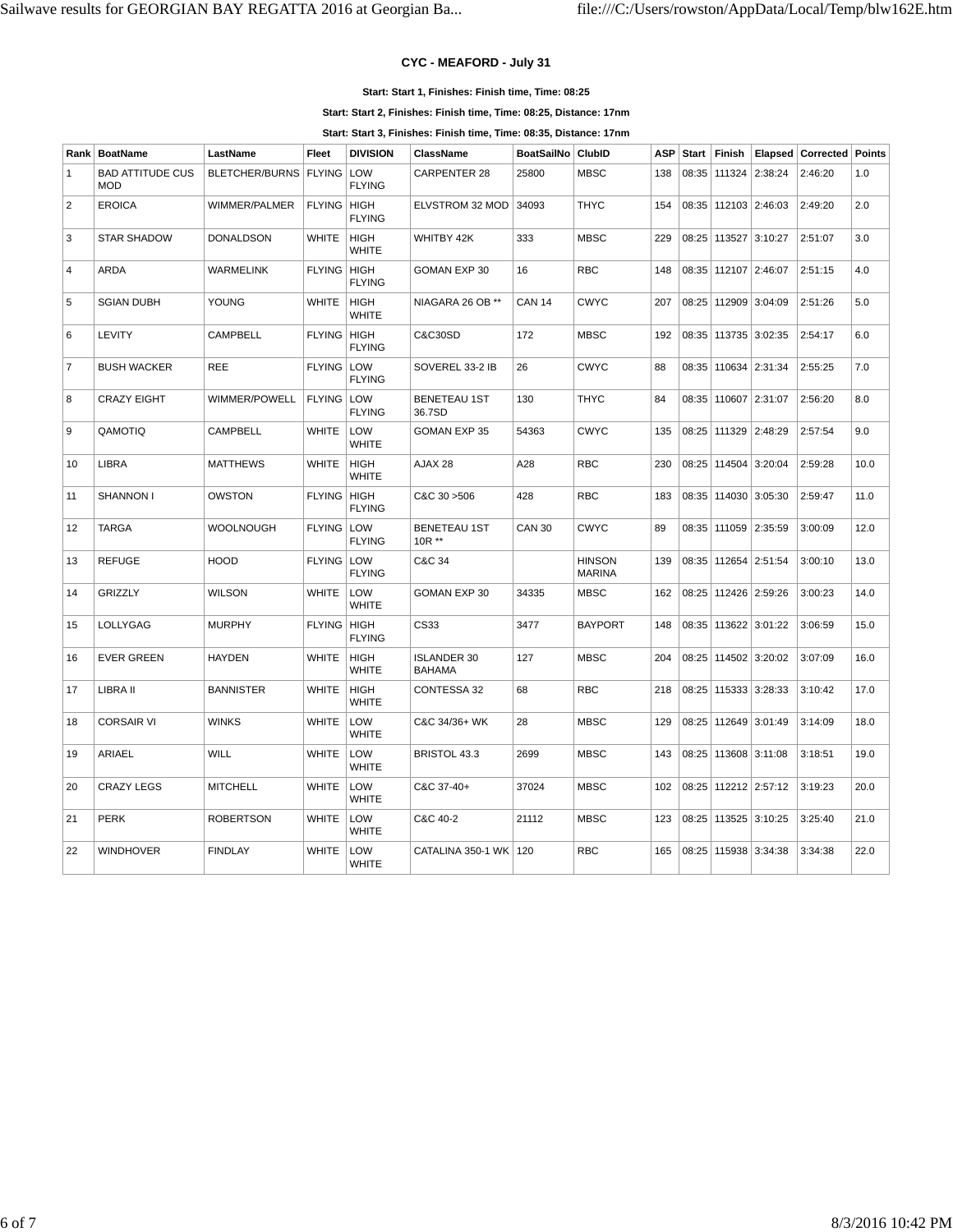## **CYC - MEAFORD - July 31**

#### **Start: Start 1, Finishes: Finish time, Time: 08:25**

**Start: Start 2, Finishes: Finish time, Time: 08:25, Distance: 17nm**

**Start: Start 3, Finishes: Finish time, Time: 08:35, Distance: 17nm**

|                | Rank   BoatName                       | LastName              | Fleet              | <b>DIVISION</b>             | ClassName                           | <b>BoatSailNo</b> | ClubID                         | ASP | Start | Finish                   |                | Elapsed   Corrected   Points |      |
|----------------|---------------------------------------|-----------------------|--------------------|-----------------------------|-------------------------------------|-------------------|--------------------------------|-----|-------|--------------------------|----------------|------------------------------|------|
| $\mathbf{1}$   | <b>BAD ATTITUDE CUS</b><br><b>MOD</b> | <b>BLETCHER/BURNS</b> | <b>FLYING LOW</b>  | <b>FLYING</b>               | CARPENTER 28                        | 25800             | <b>MBSC</b>                    | 138 |       | 08:35   111324   2:38:24 |                | 2:46:20                      | 1.0  |
| 2              | <b>EROICA</b>                         | WIMMER/PALMER         | FLYING   HIGH      | <b>FLYING</b>               | ELVSTROM 32 MOD                     | 34093             | <b>THYC</b>                    | 154 |       | 08:35   112103   2:46:03 |                | 2:49:20                      | 2.0  |
| 3              | <b>STAR SHADOW</b>                    | <b>DONALDSON</b>      | <b>WHITE</b>       | HIGH<br><b>WHITE</b>        | WHITBY 42K                          | 333               | <b>MBSC</b>                    | 229 |       | 08:25 113527             | 3:10:27        | 2:51:07                      | 3.0  |
| $\overline{4}$ | <b>ARDA</b>                           | <b>WARMELINK</b>      | <b>FLYING HIGH</b> | <b>FLYING</b>               | <b>GOMAN EXP 30</b>                 | 16                | <b>RBC</b>                     | 148 |       | 08:35 112107             | 2:46:07        | 2:51:15                      | 4.0  |
| 5              | <b>SGIAN DUBH</b>                     | YOUNG                 | <b>WHITE</b>       | <b>HIGH</b><br><b>WHITE</b> | NIAGARA 26 OB **                    | <b>CAN 14</b>     | <b>CWYC</b>                    | 207 |       | 08:25 112909             | 3:04:09        | 2:51:26                      | 5.0  |
| 6              | LEVITY                                | <b>CAMPBELL</b>       | FLYING   HIGH      | <b>FLYING</b>               | <b>C&amp;C30SD</b>                  | 172               | <b>MBSC</b>                    | 192 |       | 08:35   113735   3:02:35 |                | 2:54:17                      | 6.0  |
| $\overline{7}$ | <b>BUSH WACKER</b>                    | <b>REE</b>            | <b>FLYING LOW</b>  | <b>FLYING</b>               | SOVEREL 33-2 IB                     | 26                | <b>CWYC</b>                    | 88  | 08:35 |                          | 110634 2:31:34 | 2:55:25                      | 7.0  |
| 8              | <b>CRAZY EIGHT</b>                    | WIMMER/POWELL         | <b>FLYING LOW</b>  | <b>FLYING</b>               | <b>BENETEAU 1ST</b><br>36.7SD       | 130               | <b>THYC</b>                    | 84  |       | 08:35 110607             | 2:31:07        | 2:56:20                      | 8.0  |
| 9              | QAMOTIQ                               | <b>CAMPBELL</b>       | WHITE              | <b>LOW</b><br><b>WHITE</b>  | <b>GOMAN EXP 35</b>                 | 54363             | <b>CWYC</b>                    | 135 |       | 08:25   111329   2:48:29 |                | 2:57:54                      | 9.0  |
| 10             | <b>LIBRA</b>                          | <b>MATTHEWS</b>       | <b>WHITE</b>       | HIGH<br><b>WHITE</b>        | AJAX 28                             | A28               | <b>RBC</b>                     | 230 | 08:25 | 114504                   | 3:20:04        | 2:59:28                      | 10.0 |
| 11             | SHANNON I                             | <b>OWSTON</b>         | <b>FLYING HIGH</b> | <b>FLYING</b>               | C&C 30 > 506                        | 428               | <b>RBC</b>                     | 183 | 08:35 | $114030$ 3:05:30         |                | 2:59:47                      | 11.0 |
| 12             | <b>TARGA</b>                          | <b>WOOLNOUGH</b>      | FLYING   LOW       | <b>FLYING</b>               | <b>BENETEAU 1ST</b><br>10R **       | <b>CAN 30</b>     | <b>CWYC</b>                    | 89  |       | 08:35   111059   2:35:59 |                | 3:00:09                      | 12.0 |
| 13             | <b>REFUGE</b>                         | <b>HOOD</b>           | <b>FLYING LOW</b>  | <b>FLYING</b>               | C&C 34                              |                   | <b>HINSON</b><br><b>MARINA</b> | 139 |       | 08:35   112654   2:51:54 |                | 3:00:10                      | 13.0 |
| 14             | <b>GRIZZLY</b>                        | <b>WILSON</b>         | WHITE              | LOW<br><b>WHITE</b>         | GOMAN EXP 30                        | 34335             | <b>MBSC</b>                    | 162 | 08:25 | 112426 2:59:26           |                | 3:00:23                      | 14.0 |
| 15             | LOLLYGAG                              | <b>MURPHY</b>         | FLYING HIGH        | <b>FLYING</b>               | CS33                                | 3477              | <b>BAYPORT</b>                 | 148 |       | 08:35 113622             | 3:01:22        | 3:06:59                      | 15.0 |
| 16             | <b>EVER GREEN</b>                     | <b>HAYDEN</b>         | <b>WHITE</b>       | <b>HIGH</b><br>WHITE        | <b>ISLANDER 30</b><br><b>BAHAMA</b> | 127               | <b>MBSC</b>                    | 204 |       | 08:25   114502   3:20:02 |                | 3:07:09                      | 16.0 |
| 17             | LIBRA II                              | <b>BANNISTER</b>      | <b>WHITE</b>       | <b>HIGH</b><br><b>WHITE</b> | CONTESSA 32                         | 68                | <b>RBC</b>                     | 218 |       | 08:25   115333   3:28:33 |                | 3:10:42                      | 17.0 |
| 18             | <b>CORSAIR VI</b>                     | <b>WINKS</b>          | <b>WHITE</b>       | LOW<br><b>WHITE</b>         | C&C 34/36+ WK                       | 28                | <b>MBSC</b>                    | 129 |       | 08:25   112649   3:01:49 |                | 3:14:09                      | 18.0 |
| 19             | ARIAEL                                | WILL                  | <b>WHITE</b>       | LOW<br><b>WHITE</b>         | BRISTOL 43.3                        | 2699              | <b>MBSC</b>                    | 143 |       | 08:25   113608   3:11:08 |                | 3:18:51                      | 19.0 |
| 20             | <b>CRAZY LEGS</b>                     | <b>MITCHELL</b>       | <b>WHITE</b>       | LOW<br><b>WHITE</b>         | C&C 37-40+                          | 37024             | <b>MBSC</b>                    | 102 | 08:25 |                          | 112212 2:57:12 | 3:19:23                      | 20.0 |
| 21             | <b>PERK</b>                           | <b>ROBERTSON</b>      | WHITE              | LOW<br><b>WHITE</b>         | C&C 40-2                            | 21112             | <b>MBSC</b>                    | 123 |       | 08:25   113525   3:10:25 |                | 3:25:40                      | 21.0 |
| 22             | <b>WINDHOVER</b>                      | <b>FINDLAY</b>        | <b>WHITE</b>       | LOW<br><b>WHITE</b>         | CATALINA 350-1 WK                   | 120               | <b>RBC</b>                     | 165 | 08:25 | $115938$ 3:34:38         |                | 3:34:38                      | 22.0 |